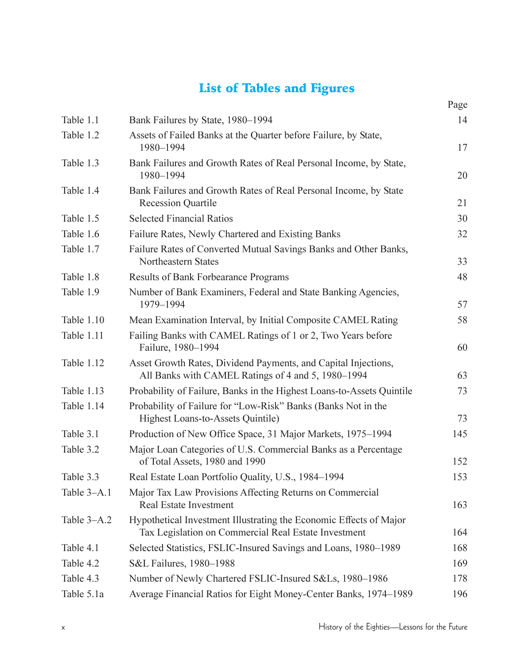## List of Tables and Figures

|             |                                                                                                                            | Page |
|-------------|----------------------------------------------------------------------------------------------------------------------------|------|
| Table 1.1   | Bank Failures by State, 1980-1994                                                                                          | 14   |
| Table 1.2   | Assets of Failed Banks at the Quarter before Failure, by State,<br>1980-1994                                               | 17   |
| Table 1.3   | Bank Failures and Growth Rates of Real Personal Income, by State,<br>1980-1994                                             | 20   |
| Table 1.4   | Bank Failures and Growth Rates of Real Personal Income, by State<br><b>Recession Quartile</b>                              | 21   |
| Table 1.5   | <b>Selected Financial Ratios</b>                                                                                           | 30   |
| Table 1.6   | Failure Rates, Newly Chartered and Existing Banks                                                                          | 32   |
| Table 1.7   | Failure Rates of Converted Mutual Savings Banks and Other Banks,<br>Northeastern States                                    | 33   |
| Table 1.8   | Results of Bank Forbearance Programs                                                                                       | 48   |
| Table 1.9   | Number of Bank Examiners, Federal and State Banking Agencies,<br>1979-1994                                                 | 57   |
| Table 1.10  | Mean Examination Interval, by Initial Composite CAMEL Rating                                                               | 58   |
| Table 1.11  | Failing Banks with CAMEL Ratings of 1 or 2, Two Years before<br>Failure, 1980-1994                                         | 60   |
| Table 1.12  | Asset Growth Rates, Dividend Payments, and Capital Injections,<br>All Banks with CAMEL Ratings of 4 and 5, 1980-1994       | 63   |
| Table 1.13  | Probability of Failure, Banks in the Highest Loans-to-Assets Quintile                                                      | 73   |
| Table 1.14  | Probability of Failure for "Low-Risk" Banks (Banks Not in the<br>Highest Loans-to-Assets Quintile)                         | 73   |
| Table 3.1   | Production of New Office Space, 31 Major Markets, 1975-1994                                                                | 145  |
| Table 3.2   | Major Loan Categories of U.S. Commercial Banks as a Percentage<br>of Total Assets, 1980 and 1990                           | 152  |
| Table 3.3   | Real Estate Loan Portfolio Quality, U.S., 1984-1994                                                                        | 153  |
| Table 3-A.1 | Major Tax Law Provisions Affecting Returns on Commercial<br>Real Estate Investment                                         | 163  |
| Table 3-A.2 | Hypothetical Investment Illustrating the Economic Effects of Major<br>Tax Legislation on Commercial Real Estate Investment | 164  |
| Table 4.1   | Selected Statistics, FSLIC-Insured Savings and Loans, 1980–1989                                                            | 168  |
| Table 4.2   | S&L Failures, 1980-1988                                                                                                    | 169  |
| Table 4.3   | Number of Newly Chartered FSLIC-Insured S&Ls, 1980-1986                                                                    | 178  |
| Table 5.1a  | Average Financial Ratios for Eight Money-Center Banks, 1974-1989                                                           | 196  |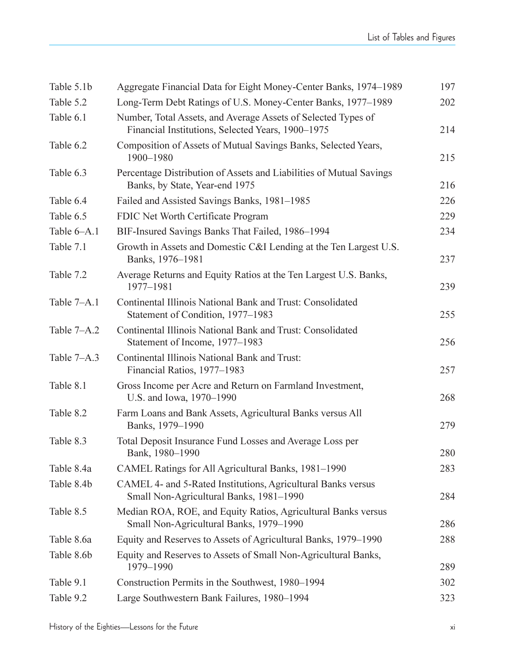| Table 5.1b  | Aggregate Financial Data for Eight Money-Center Banks, 1974–1989                                                   | 197 |
|-------------|--------------------------------------------------------------------------------------------------------------------|-----|
| Table 5.2   | Long-Term Debt Ratings of U.S. Money-Center Banks, 1977-1989                                                       | 202 |
| Table 6.1   | Number, Total Assets, and Average Assets of Selected Types of<br>Financial Institutions, Selected Years, 1900-1975 | 214 |
| Table 6.2   | Composition of Assets of Mutual Savings Banks, Selected Years,<br>1900-1980                                        | 215 |
| Table 6.3   | Percentage Distribution of Assets and Liabilities of Mutual Savings<br>Banks, by State, Year-end 1975              | 216 |
| Table 6.4   | Failed and Assisted Savings Banks, 1981-1985                                                                       | 226 |
| Table 6.5   | FDIC Net Worth Certificate Program                                                                                 | 229 |
| Table 6–A.1 | BIF-Insured Savings Banks That Failed, 1986-1994                                                                   | 234 |
| Table 7.1   | Growth in Assets and Domestic C&I Lending at the Ten Largest U.S.<br>Banks, 1976-1981                              | 237 |
| Table 7.2   | Average Returns and Equity Ratios at the Ten Largest U.S. Banks,<br>1977-1981                                      | 239 |
| Table 7-A.1 | Continental Illinois National Bank and Trust: Consolidated<br>Statement of Condition, 1977-1983                    | 255 |
| Table 7–A.2 | Continental Illinois National Bank and Trust: Consolidated<br>Statement of Income, 1977-1983                       | 256 |
| Table 7–A.3 | Continental Illinois National Bank and Trust:<br>Financial Ratios, 1977-1983                                       | 257 |
| Table 8.1   | Gross Income per Acre and Return on Farmland Investment,<br>U.S. and Iowa, 1970-1990                               | 268 |
| Table 8.2   | Farm Loans and Bank Assets, Agricultural Banks versus All<br>Banks, 1979-1990                                      | 279 |
| Table 8.3   | Total Deposit Insurance Fund Losses and Average Loss per<br>Bank, 1980-1990                                        | 280 |
| Table 8.4a  | CAMEL Ratings for All Agricultural Banks, 1981-1990                                                                | 283 |
| Table 8.4b  | CAMEL 4- and 5-Rated Institutions, Agricultural Banks versus<br>Small Non-Agricultural Banks, 1981-1990            | 284 |
| Table 8.5   | Median ROA, ROE, and Equity Ratios, Agricultural Banks versus<br>Small Non-Agricultural Banks, 1979-1990           | 286 |
| Table 8.6a  | Equity and Reserves to Assets of Agricultural Banks, 1979-1990                                                     | 288 |
| Table 8.6b  | Equity and Reserves to Assets of Small Non-Agricultural Banks,<br>1979-1990                                        | 289 |
| Table 9.1   | Construction Permits in the Southwest, 1980-1994                                                                   | 302 |
| Table 9.2   | Large Southwestern Bank Failures, 1980-1994                                                                        | 323 |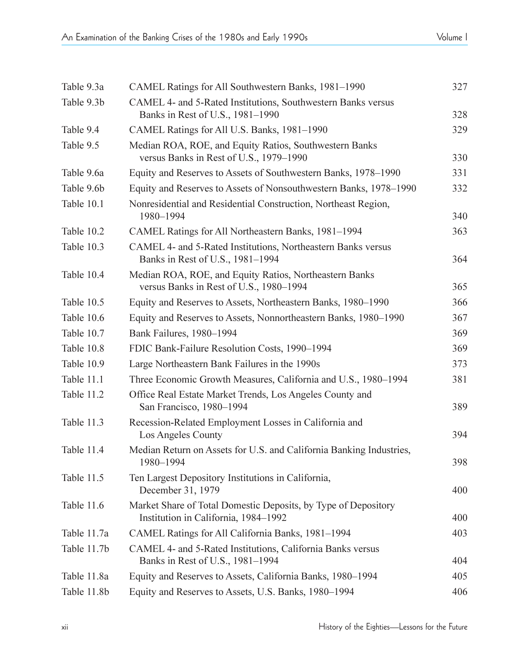| Table 9.3a  | CAMEL Ratings for All Southwestern Banks, 1981-1990                                                    | 327 |
|-------------|--------------------------------------------------------------------------------------------------------|-----|
| Table 9.3b  | CAMEL 4- and 5-Rated Institutions, Southwestern Banks versus<br>Banks in Rest of U.S., 1981-1990       | 328 |
| Table 9.4   | CAMEL Ratings for All U.S. Banks, 1981-1990                                                            | 329 |
| Table 9.5   | Median ROA, ROE, and Equity Ratios, Southwestern Banks<br>versus Banks in Rest of U.S., 1979-1990      | 330 |
| Table 9.6a  | Equity and Reserves to Assets of Southwestern Banks, 1978-1990                                         | 331 |
| Table 9.6b  | Equity and Reserves to Assets of Nonsouthwestern Banks, 1978-1990                                      | 332 |
| Table 10.1  | Nonresidential and Residential Construction, Northeast Region,<br>1980-1994                            | 340 |
| Table 10.2  | CAMEL Ratings for All Northeastern Banks, 1981-1994                                                    | 363 |
| Table 10.3  | CAMEL 4- and 5-Rated Institutions, Northeastern Banks versus<br>Banks in Rest of U.S., 1981-1994       | 364 |
| Table 10.4  | Median ROA, ROE, and Equity Ratios, Northeastern Banks<br>versus Banks in Rest of U.S., 1980-1994      | 365 |
| Table 10.5  | Equity and Reserves to Assets, Northeastern Banks, 1980-1990                                           | 366 |
| Table 10.6  | Equity and Reserves to Assets, Nonnortheastern Banks, 1980-1990                                        | 367 |
| Table 10.7  | Bank Failures, 1980-1994                                                                               | 369 |
| Table 10.8  | FDIC Bank-Failure Resolution Costs, 1990-1994                                                          | 369 |
| Table 10.9  | Large Northeastern Bank Failures in the 1990s                                                          | 373 |
| Table 11.1  | Three Economic Growth Measures, California and U.S., 1980-1994                                         | 381 |
| Table 11.2  | Office Real Estate Market Trends, Los Angeles County and<br>San Francisco, 1980-1994                   | 389 |
| Table 11.3  | Recession-Related Employment Losses in California and<br>Los Angeles County                            | 394 |
| Table 11.4  | Median Return on Assets for U.S. and California Banking Industries,<br>1980-1994                       | 398 |
| Table 11.5  | Ten Largest Depository Institutions in California,<br>December 31, 1979                                | 400 |
| Table 11.6  | Market Share of Total Domestic Deposits, by Type of Depository<br>Institution in California, 1984-1992 | 400 |
| Table 11.7a | CAMEL Ratings for All California Banks, 1981-1994                                                      | 403 |
| Table 11.7b | CAMEL 4- and 5-Rated Institutions, California Banks versus<br>Banks in Rest of U.S., 1981-1994         | 404 |
| Table 11.8a | Equity and Reserves to Assets, California Banks, 1980-1994                                             | 405 |
| Table 11.8b | Equity and Reserves to Assets, U.S. Banks, 1980-1994                                                   | 406 |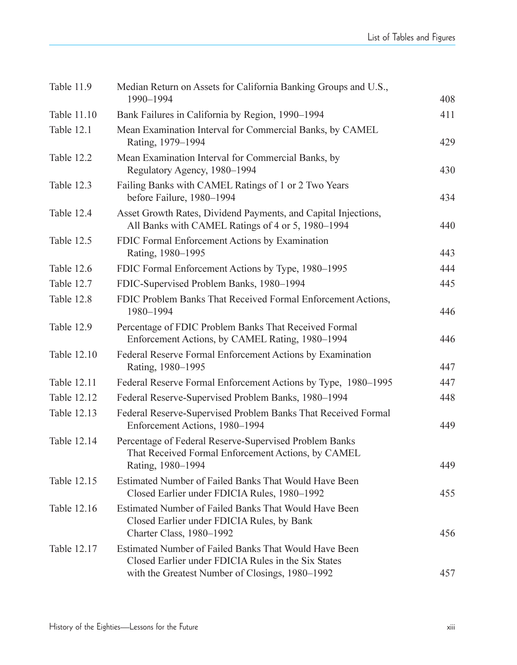| Table 11.9         | Median Return on Assets for California Banking Groups and U.S.,<br>1990-1994                                                                                    | 408 |
|--------------------|-----------------------------------------------------------------------------------------------------------------------------------------------------------------|-----|
| Table 11.10        | Bank Failures in California by Region, 1990-1994                                                                                                                | 411 |
| Table 12.1         | Mean Examination Interval for Commercial Banks, by CAMEL<br>Rating, 1979-1994                                                                                   | 429 |
| Table 12.2         | Mean Examination Interval for Commercial Banks, by<br>Regulatory Agency, 1980-1994                                                                              | 430 |
| Table 12.3         | Failing Banks with CAMEL Ratings of 1 or 2 Two Years<br>before Failure, 1980-1994                                                                               | 434 |
| Table 12.4         | Asset Growth Rates, Dividend Payments, and Capital Injections,<br>All Banks with CAMEL Ratings of 4 or 5, 1980–1994                                             | 440 |
| Table 12.5         | FDIC Formal Enforcement Actions by Examination<br>Rating, 1980-1995                                                                                             | 443 |
| Table 12.6         | FDIC Formal Enforcement Actions by Type, 1980-1995                                                                                                              | 444 |
| Table 12.7         | FDIC-Supervised Problem Banks, 1980-1994                                                                                                                        | 445 |
| Table 12.8         | FDIC Problem Banks That Received Formal Enforcement Actions,<br>1980-1994                                                                                       | 446 |
| Table 12.9         | Percentage of FDIC Problem Banks That Received Formal<br>Enforcement Actions, by CAMEL Rating, 1980-1994                                                        | 446 |
| Table 12.10        | Federal Reserve Formal Enforcement Actions by Examination<br>Rating, 1980-1995                                                                                  | 447 |
| Table 12.11        | Federal Reserve Formal Enforcement Actions by Type, 1980-1995                                                                                                   | 447 |
| <b>Table 12.12</b> | Federal Reserve-Supervised Problem Banks, 1980-1994                                                                                                             | 448 |
| Table 12.13        | Federal Reserve-Supervised Problem Banks That Received Formal<br>Enforcement Actions, 1980-1994                                                                 | 449 |
| Table 12.14        | Percentage of Federal Reserve-Supervised Problem Banks<br>That Received Formal Enforcement Actions, by CAMEL<br>Rating, 1980-1994                               | 449 |
| Table 12.15        | Estimated Number of Failed Banks That Would Have Been<br>Closed Earlier under FDICIA Rules, 1980-1992                                                           | 455 |
| Table 12.16        | Estimated Number of Failed Banks That Would Have Been<br>Closed Earlier under FDICIA Rules, by Bank<br>Charter Class, 1980-1992                                 | 456 |
| Table 12.17        | Estimated Number of Failed Banks That Would Have Been<br>Closed Earlier under FDICIA Rules in the Six States<br>with the Greatest Number of Closings, 1980-1992 | 457 |
|                    |                                                                                                                                                                 |     |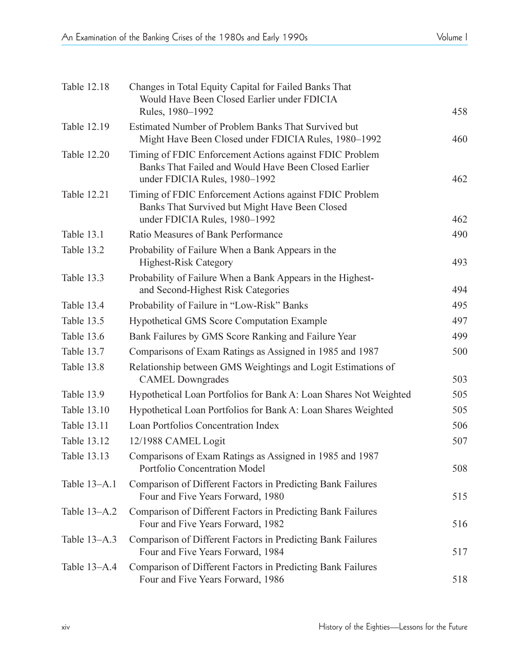| Table 12.18  | Changes in Total Equity Capital for Failed Banks That<br>Would Have Been Closed Earlier under FDICIA<br>Rules, 1980-1992                         | 458 |
|--------------|--------------------------------------------------------------------------------------------------------------------------------------------------|-----|
| Table 12.19  | Estimated Number of Problem Banks That Survived but<br>Might Have Been Closed under FDICIA Rules, 1980-1992                                      | 460 |
| Table 12.20  | Timing of FDIC Enforcement Actions against FDIC Problem<br>Banks That Failed and Would Have Been Closed Earlier<br>under FDICIA Rules, 1980-1992 | 462 |
| Table 12.21  | Timing of FDIC Enforcement Actions against FDIC Problem<br>Banks That Survived but Might Have Been Closed<br>under FDICIA Rules, 1980-1992       | 462 |
| Table 13.1   | Ratio Measures of Bank Performance                                                                                                               | 490 |
| Table 13.2   | Probability of Failure When a Bank Appears in the<br><b>Highest-Risk Category</b>                                                                | 493 |
| Table 13.3   | Probability of Failure When a Bank Appears in the Highest-<br>and Second-Highest Risk Categories                                                 | 494 |
| Table 13.4   | Probability of Failure in "Low-Risk" Banks                                                                                                       | 495 |
| Table 13.5   | Hypothetical GMS Score Computation Example                                                                                                       | 497 |
| Table 13.6   | Bank Failures by GMS Score Ranking and Failure Year                                                                                              | 499 |
| Table 13.7   | Comparisons of Exam Ratings as Assigned in 1985 and 1987                                                                                         | 500 |
| Table 13.8   | Relationship between GMS Weightings and Logit Estimations of<br><b>CAMEL Downgrades</b>                                                          | 503 |
| Table 13.9   | Hypothetical Loan Portfolios for Bank A: Loan Shares Not Weighted                                                                                | 505 |
| Table 13.10  | Hypothetical Loan Portfolios for Bank A: Loan Shares Weighted                                                                                    | 505 |
| Table 13.11  | Loan Portfolios Concentration Index                                                                                                              | 506 |
| Table 13.12  | 12/1988 CAMEL Logit                                                                                                                              | 507 |
| Table 13.13  | Comparisons of Exam Ratings as Assigned in 1985 and 1987<br><b>Portfolio Concentration Model</b>                                                 | 508 |
| Table 13-A.1 | Comparison of Different Factors in Predicting Bank Failures<br>Four and Five Years Forward, 1980                                                 | 515 |
| Table 13–A.2 | Comparison of Different Factors in Predicting Bank Failures<br>Four and Five Years Forward, 1982                                                 | 516 |
| Table 13-A.3 | Comparison of Different Factors in Predicting Bank Failures<br>Four and Five Years Forward, 1984                                                 | 517 |
| Table 13–A.4 | Comparison of Different Factors in Predicting Bank Failures<br>Four and Five Years Forward, 1986                                                 | 518 |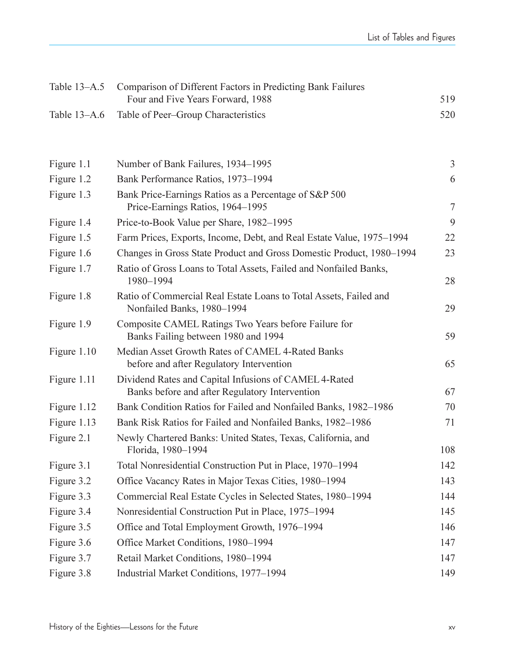| Table 13-A.5 | Comparison of Different Factors in Predicting Bank Failures<br>Four and Five Years Forward, 1988        | 519            |
|--------------|---------------------------------------------------------------------------------------------------------|----------------|
| Table 13-A.6 | Table of Peer-Group Characteristics                                                                     | 520            |
|              |                                                                                                         |                |
| Figure 1.1   | Number of Bank Failures, 1934-1995                                                                      | $\mathfrak{Z}$ |
| Figure 1.2   | Bank Performance Ratios, 1973-1994                                                                      | 6              |
| Figure 1.3   | Bank Price-Earnings Ratios as a Percentage of S&P 500<br>Price-Earnings Ratios, 1964-1995               | $\tau$         |
| Figure 1.4   | Price-to-Book Value per Share, 1982-1995                                                                | 9              |
| Figure 1.5   | Farm Prices, Exports, Income, Debt, and Real Estate Value, 1975-1994                                    | 22             |
| Figure 1.6   | Changes in Gross State Product and Gross Domestic Product, 1980-1994                                    | 23             |
| Figure 1.7   | Ratio of Gross Loans to Total Assets, Failed and Nonfailed Banks,<br>1980-1994                          | 28             |
| Figure 1.8   | Ratio of Commercial Real Estate Loans to Total Assets, Failed and<br>Nonfailed Banks, 1980-1994         | 29             |
| Figure 1.9   | Composite CAMEL Ratings Two Years before Failure for<br>Banks Failing between 1980 and 1994             | 59             |
| Figure 1.10  | Median Asset Growth Rates of CAMEL 4-Rated Banks<br>before and after Regulatory Intervention            | 65             |
| Figure 1.11  | Dividend Rates and Capital Infusions of CAMEL 4-Rated<br>Banks before and after Regulatory Intervention | 67             |
| Figure 1.12  | Bank Condition Ratios for Failed and Nonfailed Banks, 1982-1986                                         | 70             |
| Figure 1.13  | Bank Risk Ratios for Failed and Nonfailed Banks, 1982-1986                                              | 71             |
| Figure 2.1   | Newly Chartered Banks: United States, Texas, California, and<br>Florida, 1980-1994                      | 108            |
| Figure 3.1   | Total Nonresidential Construction Put in Place, 1970–1994                                               | 142            |
| Figure 3.2   | Office Vacancy Rates in Major Texas Cities, 1980-1994                                                   | 143            |
| Figure 3.3   | Commercial Real Estate Cycles in Selected States, 1980-1994                                             | 144            |
| Figure 3.4   | Nonresidential Construction Put in Place, 1975-1994                                                     | 145            |
| Figure 3.5   | Office and Total Employment Growth, 1976-1994                                                           | 146            |
| Figure 3.6   | Office Market Conditions, 1980-1994                                                                     | 147            |
| Figure 3.7   | Retail Market Conditions, 1980-1994                                                                     | 147            |
| Figure 3.8   | Industrial Market Conditions, 1977-1994                                                                 | 149            |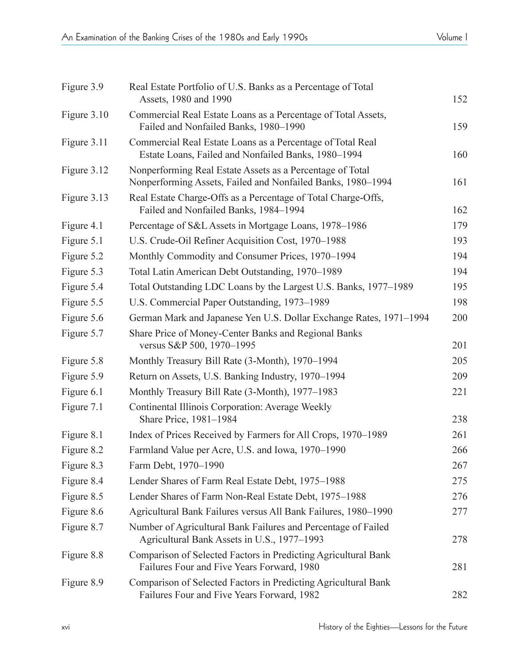| Figure 3.9  | Real Estate Portfolio of U.S. Banks as a Percentage of Total<br>Assets, 1980 and 1990                                    | 152 |
|-------------|--------------------------------------------------------------------------------------------------------------------------|-----|
| Figure 3.10 | Commercial Real Estate Loans as a Percentage of Total Assets,<br>Failed and Nonfailed Banks, 1980-1990                   | 159 |
| Figure 3.11 | Commercial Real Estate Loans as a Percentage of Total Real<br>Estate Loans, Failed and Nonfailed Banks, 1980-1994        | 160 |
| Figure 3.12 | Nonperforming Real Estate Assets as a Percentage of Total<br>Nonperforming Assets, Failed and Nonfailed Banks, 1980-1994 | 161 |
| Figure 3.13 | Real Estate Charge-Offs as a Percentage of Total Charge-Offs,<br>Failed and Nonfailed Banks, 1984-1994                   | 162 |
| Figure 4.1  | Percentage of S&L Assets in Mortgage Loans, 1978-1986                                                                    | 179 |
| Figure 5.1  | U.S. Crude-Oil Refiner Acquisition Cost, 1970-1988                                                                       | 193 |
| Figure 5.2  | Monthly Commodity and Consumer Prices, 1970-1994                                                                         | 194 |
| Figure 5.3  | Total Latin American Debt Outstanding, 1970-1989                                                                         | 194 |
| Figure 5.4  | Total Outstanding LDC Loans by the Largest U.S. Banks, 1977-1989                                                         | 195 |
| Figure 5.5  | U.S. Commercial Paper Outstanding, 1973-1989                                                                             | 198 |
| Figure 5.6  | German Mark and Japanese Yen U.S. Dollar Exchange Rates, 1971-1994                                                       | 200 |
| Figure 5.7  | Share Price of Money-Center Banks and Regional Banks<br>versus S&P 500, 1970-1995                                        | 201 |
| Figure 5.8  | Monthly Treasury Bill Rate (3-Month), 1970-1994                                                                          | 205 |
| Figure 5.9  | Return on Assets, U.S. Banking Industry, 1970-1994                                                                       | 209 |
| Figure 6.1  | Monthly Treasury Bill Rate (3-Month), 1977-1983                                                                          | 221 |
| Figure 7.1  | Continental Illinois Corporation: Average Weekly<br>Share Price, 1981-1984                                               | 238 |
| Figure 8.1  | Index of Prices Received by Farmers for All Crops, 1970-1989                                                             | 261 |
| Figure 8.2  | Farmland Value per Acre, U.S. and Iowa, 1970-1990                                                                        | 266 |
| Figure 8.3  | Farm Debt, 1970-1990                                                                                                     | 267 |
| Figure 8.4  | Lender Shares of Farm Real Estate Debt, 1975-1988                                                                        | 275 |
| Figure 8.5  | Lender Shares of Farm Non-Real Estate Debt, 1975-1988                                                                    | 276 |
| Figure 8.6  | Agricultural Bank Failures versus All Bank Failures, 1980-1990                                                           | 277 |
| Figure 8.7  | Number of Agricultural Bank Failures and Percentage of Failed<br>Agricultural Bank Assets in U.S., 1977-1993             | 278 |
| Figure 8.8  | Comparison of Selected Factors in Predicting Agricultural Bank<br>Failures Four and Five Years Forward, 1980             | 281 |
| Figure 8.9  | Comparison of Selected Factors in Predicting Agricultural Bank<br>Failures Four and Five Years Forward, 1982             | 282 |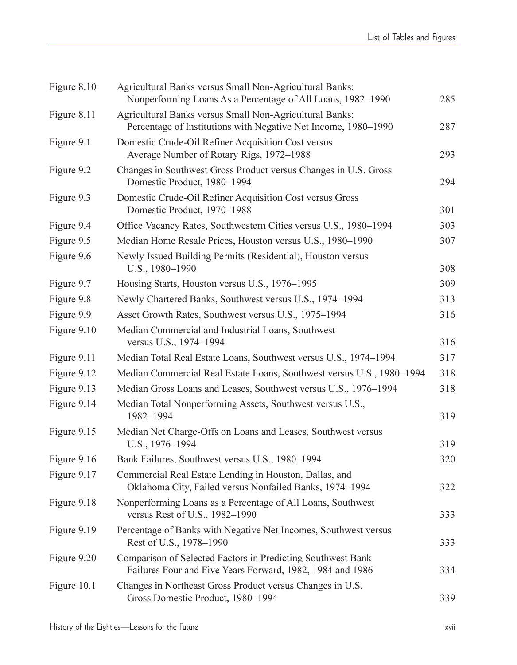| Figure 8.10 | Agricultural Banks versus Small Non-Agricultural Banks:<br>Nonperforming Loans As a Percentage of All Loans, 1982-1990    | 285 |
|-------------|---------------------------------------------------------------------------------------------------------------------------|-----|
| Figure 8.11 | Agricultural Banks versus Small Non-Agricultural Banks:<br>Percentage of Institutions with Negative Net Income, 1980-1990 | 287 |
| Figure 9.1  | Domestic Crude-Oil Refiner Acquisition Cost versus<br>Average Number of Rotary Rigs, 1972-1988                            | 293 |
| Figure 9.2  | Changes in Southwest Gross Product versus Changes in U.S. Gross<br>Domestic Product, 1980-1994                            | 294 |
| Figure 9.3  | Domestic Crude-Oil Refiner Acquisition Cost versus Gross<br>Domestic Product, 1970-1988                                   | 301 |
| Figure 9.4  | Office Vacancy Rates, Southwestern Cities versus U.S., 1980-1994                                                          | 303 |
| Figure 9.5  | Median Home Resale Prices, Houston versus U.S., 1980-1990                                                                 | 307 |
| Figure 9.6  | Newly Issued Building Permits (Residential), Houston versus<br>U.S., 1980-1990                                            | 308 |
| Figure 9.7  | Housing Starts, Houston versus U.S., 1976-1995                                                                            | 309 |
| Figure 9.8  | Newly Chartered Banks, Southwest versus U.S., 1974-1994                                                                   | 313 |
| Figure 9.9  | Asset Growth Rates, Southwest versus U.S., 1975-1994                                                                      | 316 |
| Figure 9.10 | Median Commercial and Industrial Loans, Southwest<br>versus U.S., 1974-1994                                               | 316 |
| Figure 9.11 | Median Total Real Estate Loans, Southwest versus U.S., 1974-1994                                                          | 317 |
| Figure 9.12 | Median Commercial Real Estate Loans, Southwest versus U.S., 1980-1994                                                     | 318 |
| Figure 9.13 | Median Gross Loans and Leases, Southwest versus U.S., 1976-1994                                                           | 318 |
| Figure 9.14 | Median Total Nonperforming Assets, Southwest versus U.S.,<br>1982-1994                                                    | 319 |
| Figure 9.15 | Median Net Charge-Offs on Loans and Leases, Southwest versus<br>U.S., 1976-1994                                           | 319 |
| Figure 9.16 | Bank Failures, Southwest versus U.S., 1980-1994                                                                           | 320 |
| Figure 9.17 | Commercial Real Estate Lending in Houston, Dallas, and<br>Oklahoma City, Failed versus Nonfailed Banks, 1974-1994         | 322 |
| Figure 9.18 | Nonperforming Loans as a Percentage of All Loans, Southwest<br>versus Rest of U.S., 1982-1990                             | 333 |
| Figure 9.19 | Percentage of Banks with Negative Net Incomes, Southwest versus<br>Rest of U.S., 1978-1990                                | 333 |
| Figure 9.20 | Comparison of Selected Factors in Predicting Southwest Bank<br>Failures Four and Five Years Forward, 1982, 1984 and 1986  | 334 |
| Figure 10.1 | Changes in Northeast Gross Product versus Changes in U.S.<br>Gross Domestic Product, 1980-1994                            | 339 |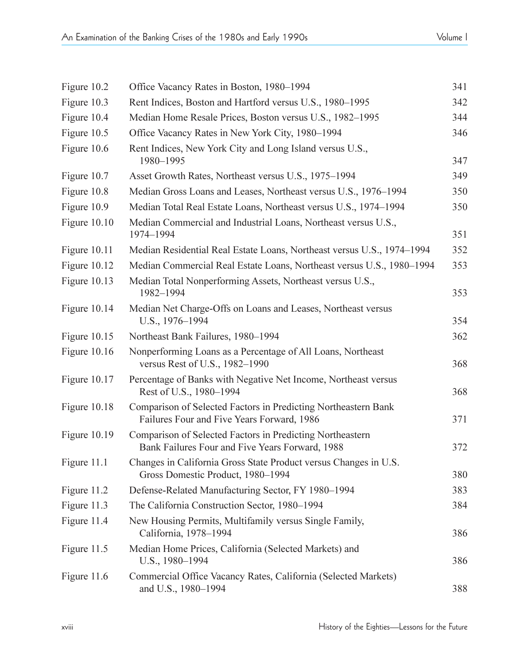| Figure 10.2  | Office Vacancy Rates in Boston, 1980-1994                                                                    | 341 |
|--------------|--------------------------------------------------------------------------------------------------------------|-----|
| Figure 10.3  | Rent Indices, Boston and Hartford versus U.S., 1980-1995                                                     | 342 |
| Figure 10.4  | Median Home Resale Prices, Boston versus U.S., 1982-1995                                                     | 344 |
| Figure 10.5  | Office Vacancy Rates in New York City, 1980-1994                                                             | 346 |
| Figure 10.6  | Rent Indices, New York City and Long Island versus U.S.,<br>1980-1995                                        | 347 |
| Figure 10.7  | Asset Growth Rates, Northeast versus U.S., 1975-1994                                                         | 349 |
| Figure 10.8  | Median Gross Loans and Leases, Northeast versus U.S., 1976-1994                                              | 350 |
| Figure 10.9  | Median Total Real Estate Loans, Northeast versus U.S., 1974-1994                                             | 350 |
| Figure 10.10 | Median Commercial and Industrial Loans, Northeast versus U.S.,<br>1974-1994                                  | 351 |
| Figure 10.11 | Median Residential Real Estate Loans, Northeast versus U.S., 1974-1994                                       | 352 |
| Figure 10.12 | Median Commercial Real Estate Loans, Northeast versus U.S., 1980-1994                                        | 353 |
| Figure 10.13 | Median Total Nonperforming Assets, Northeast versus U.S.,<br>1982-1994                                       | 353 |
| Figure 10.14 | Median Net Charge-Offs on Loans and Leases, Northeast versus<br>U.S., 1976-1994                              | 354 |
| Figure 10.15 | Northeast Bank Failures, 1980-1994                                                                           | 362 |
| Figure 10.16 | Nonperforming Loans as a Percentage of All Loans, Northeast<br>versus Rest of U.S., 1982-1990                | 368 |
| Figure 10.17 | Percentage of Banks with Negative Net Income, Northeast versus<br>Rest of U.S., 1980-1994                    | 368 |
| Figure 10.18 | Comparison of Selected Factors in Predicting Northeastern Bank<br>Failures Four and Five Years Forward, 1986 | 371 |
| Figure 10.19 | Comparison of Selected Factors in Predicting Northeastern<br>Bank Failures Four and Five Years Forward, 1988 | 372 |
| Figure 11.1  | Changes in California Gross State Product versus Changes in U.S.<br>Gross Domestic Product, 1980-1994        | 380 |
| Figure 11.2  | Defense-Related Manufacturing Sector, FY 1980-1994                                                           | 383 |
| Figure 11.3  | The California Construction Sector, 1980-1994                                                                | 384 |
| Figure 11.4  | New Housing Permits, Multifamily versus Single Family,<br>California, 1978-1994                              | 386 |
| Figure 11.5  | Median Home Prices, California (Selected Markets) and<br>U.S., 1980-1994                                     | 386 |
| Figure 11.6  | Commercial Office Vacancy Rates, California (Selected Markets)<br>and U.S., 1980-1994                        | 388 |